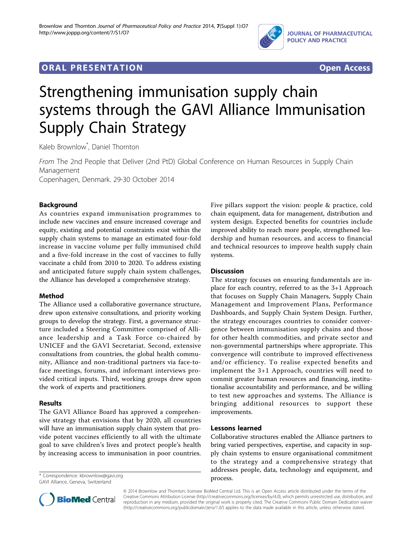

# **ORAL PRESENTATION OPEN ACCESS**



# Strengthening immunisation supply chain systems through the GAVI Alliance Immunisation Supply Chain Strategy

Kaleb Brownlow\* , Daniel Thornton

From The 2nd People that Deliver (2nd PtD) Global Conference on Human Resources in Supply Chain Management Copenhagen, Denmark. 29-30 October 2014

# Background

As countries expand immunisation programmes to include new vaccines and ensure increased coverage and equity, existing and potential constraints exist within the supply chain systems to manage an estimated four-fold increase in vaccine volume per fully immunised child and a five-fold increase in the cost of vaccines to fully vaccinate a child from 2010 to 2020. To address existing and anticipated future supply chain system challenges, the Alliance has developed a comprehensive strategy.

## Method

The Alliance used a collaborative governance structure, drew upon extensive consultations, and priority working groups to develop the strategy. First, a governance structure included a Steering Committee comprised of Alliance leadership and a Task Force co-chaired by UNICEF and the GAVI Secretariat. Second, extensive consultations from countries, the global health community, Alliance and non-traditional partners via face-toface meetings, forums, and informant interviews provided critical inputs. Third, working groups drew upon the work of experts and practitioners.

#### Results

The GAVI Alliance Board has approved a comprehensive strategy that envisions that by 2020, all countries will have an immunisation supply chain system that provide potent vaccines efficiently to all with the ultimate goal to save children's lives and protect people's health by increasing access to immunisation in poor countries.

process. \* Correspondence: [kbrownlow@gavi.org](mailto:kbrownlow@gavi.org) GAVI Alliance, Geneva, Switzerland



#### **Discussion**

The strategy focuses on ensuring fundamentals are inplace for each country, referred to as the 3+1 Approach that focuses on Supply Chain Managers, Supply Chain Management and Improvement Plans, Performance Dashboards, and Supply Chain System Design. Further, the strategy encourages countries to consider convergence between immunisation supply chains and those for other health commodities, and private sector and non-governmental partnerships where appropriate. This convergence will contribute to improved effectiveness and/or efficiency. To realise expected benefits and implement the 3+1 Approach, countries will need to commit greater human resources and financing, institutionalise accountability and performance, and be willing to test new approaches and systems. The Alliance is bringing additional resources to support these improvements.

## Lessons learned

Collaborative structures enabled the Alliance partners to bring varied perspectives, expertise, and capacity in supply chain systems to ensure organisational commitment to the strategy and a comprehensive strategy that addresses people, data, technology and equipment, and



© 2014 Brownlow and Thornton; licensee BioMed Central Ltd. This is an Open Access article distributed under the terms of the Creative Commons Attribution License (<http://creativecommons.org/licenses/by/4.0>), which permits unrestricted use, distribution, and reproduction in any medium, provided the original work is properly cited. The Creative Commons Public Domain Dedication waiver [\(http://creativecommons.org/publicdomain/zero/1.0/](http://creativecommons.org/publicdomain/zero/1.0/)) applies to the data made available in this article, unless otherwise stated.